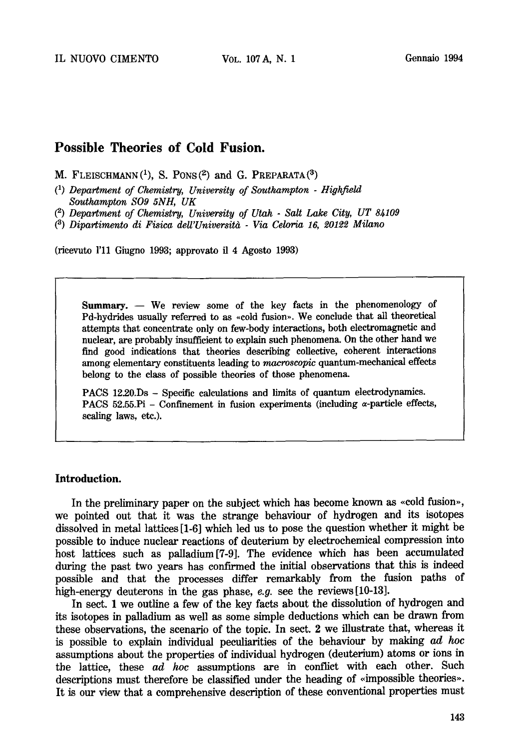# **Possible Theories of Cold Fusion.**

**M. FLEISCHMANN(1), S.** PONS(2) and **G. PREPARATA(3)** 

- *(1) Department of Chemistry, University of Southampton Highfield Southampton S09 5NH, UK*
- *(~) Department of Chemistry, University of Utah Salt Lake City, UT 84109*

*(3) Dipartimento di Fisica deU'Universitd - Via Celoria 16, 20122 Milano* 

(ricevuto l'11 Giugno 1993; approvato il 4 Agosto 1993)

Summary. -- We review some of the key facts in the phenomenology of Pd-hydrides usually referred to as «cold fusion». We conclude that all theoretical attempts that concentrate only on few-body interactions, both electromagnetic and nuclear, are probably insufficient to explain such phenomena. On the other hand we find good indications that theories describing collective, coherent interactions among elementary constituents leading to *macroscopic* quantum-mechanical effects belong to the class of possible theories of those phenomena.

PACS 12.20.Ds - Specific calculations and limits of quantum electrodynamics. PACS 52.55. Pi - Confinement in fusion experiments (including  $\alpha$ -particle effects, scaling laws, etc.).

### **Introduction.**

In the preliminary paper on the subject which has become known as «cold fusion», we pointed out that it was the strange behaviour of hydrogen and its isotopes dissolved in metal lattices [1-6] which led us to pose the question whether it might be possible to induce nuclear reactions of deuterium by electrochemical compression into host lattices such as palladium[7-9]. The evidence which has been accumulated during the past two years has confirmed the initial observations that this is indeed possible and that the processes differ remarkably from the fusion paths of high-energy deuterons in the gas phase, *e.g.* see the reviews [10-13].

In sect. 1 we outline a few of the key facts about the dissolution of hydrogen and its isotopes in palladium as well as some simple deductions which can be drawn from these observations, the scenario of the topic. In sect. 2 we illustrate that, whereas it is possible to explain individual peculiarities of the behaviour by making ad *hoc*  assumptions about the properties of individual hydrogen (deuterium) atoms or ions in the lattice, these ad *hoc* assumptions are in conflict with each other. Such descriptions must therefore be classified under the heading of «impossible theories». It is our view that a comprehensive description of these conventional properties must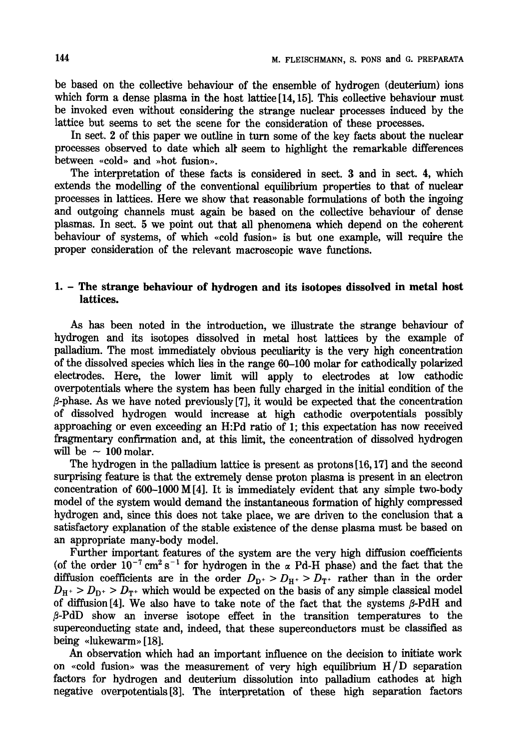be based on the collective behaviour of the ensemble of hydrogen (deuterium) ions which form a dense plasma in the host lattice [14, 15]. This collective behaviour must be invoked even without considering the strange nuclear processes induced by the lattice but seems to set the scene for the consideration of these processes.

In sect. 2 of this paper we outline in turn some of the key facts about the nuclear processes observed to date which alt seem to highlight the remarkable differences between «cold» and »hot fusion».

The interpretation of these facts is considered in sect. 3 and in sect. 4, which extends the modelling of the conventional equilibrium properties to that of nuclear processes in lattices. Here we show that reasonable formulations of both the ingoing and outgoing channels must again be based on the collective behaviour of dense plasmas. In sect. 5 we point out that all phenomena which depend on the coherent behaviour of systems, of which  $\alpha$  sold fusion. is but one example, will require the proper consideration of the relevant macroscopic wave functions.

## **1. - The strange behaviour of hydrogen and its isotopes dissolved in metal host lattices.**

As has been noted in the introduction, we illustrate the strange behaviour of hydrogen and its isotopes dissolved in metal host lattices by the example of palladium. The most immediately obvious peculiarity is the very high concentration of the dissolved species which lies in the range 60-100 molar for cathodically polarized electrodes. Here, the lower limit will apply to electrodes at low cathodic overpotentials where the system has been fully charged in the initial condition of the  $\beta$ -phase. As we have noted previously [7], it would be expected that the concentration of dissolved hydrogen would increase at high cathodic overpotentials possibly approaching or even exceeding an H:Pd ratio of 1; this expectation has now received fragmentary confirmation and, at this limit, the concentration of dissolved hydrogen will be  $\sim 100$  molar.

The hydrogen in the palladium lattice is present as protons [16,17] and the second surprising feature is that the extremely dense proton plasma is present in an electron concentration of 600-1000 M [4]. It is immediately evident that any simple two-body model of the system would demand the instantaneous formation of highly compressed hydrogen and, since this does not take place, we are driven to the conclusion that a satisfactory explanation of the stable existence of the dense plasma must be based on an appropriate many-body model.

Further important features of the system are the very high diffusion coefficients (of the order  $10^{-7}$  cm<sup>2</sup> s<sup>-1</sup> for hydrogen in the  $\alpha$  Pd-H phase) and the fact that the diffusion coefficients are in the order  $D_{D^+} > D_{H^+} > D_{T^+}$  rather than in the order  $D_{H^+} > D_{D^+} > D_{T^+}$  which would be expected on the basis of any simple classical model of diffusion  $[4]$ . We also have to take note of the fact that the systems  $\beta$ -PdH and  $\beta$ -PdD show an inverse isotope effect in the transition temperatures to the superconducting state and, indeed, that these superconductors must be classified as being «lukewarm» [18].

An observation which had an important influence on the decision to initiate work on «cold fusion» was the measurement of very high equilibrium  $H/D$  separation factors for hydrogen and deuterium dissolution into palladium cathodes at high negative overpotentials[3]. The interpretation of these high separation factors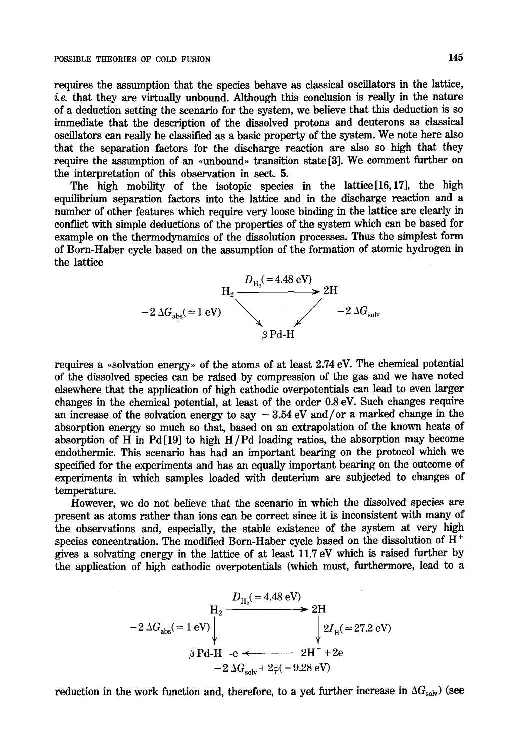requires the assumption that the species behave as classical oscillators in the lattice,  $i.e.$  that they are virtually unbound. Although this conclusion is really in the nature of a deduction setting the scenario for the system, we believe that this deduction is so immediate that the description of the dissolved protons and deuterons as classical oscillators can really be classified as a basic property of the system. We note here also that the separation factors for the discharge reaction are also so high that they require the assumption of an «unbound» transition state [3]. We comment further on the interpretation of this observation in sect. 5.

The high mobility of the isotopic species in the lattice[16,17], the high equih'brium separation factors into the lattice and in the discharge reaction and a number of other features which require very loose binding in the lattice are clearly in conflict with simple deductions of the properties of the system which can be based for example on the thermodynamics of the dissolution processes. Thus the simplest form of Born-Haber cycle based on the assumption of the formation of atomic hydrogen in the lattice



requires a «solvation energy» of the atoms of at least  $2.74$  eV. The chemical potential of the dissolved species can be raised by compression of the gas and we have noted elsewhere that the application of high cathodic overpotentials can lead to even larger changes in the chemical potential, at least of the order 0.8 eV. Such changes require an increase of the solvation energy to say  $\sim 3.54$  eV and/or a marked change in the absorption energy so much so that, based on an extrapolation of the known heats of absorption of H in Pd[19] to high H/Pd loading ratios, the absorption may become endothermic. This scenario has had an important bearing on the protocol which we specified for the experiments and has an equally important bearing on the outcome of experiments in which samples loaded with deuterium are subjected to changes of temperature.

However, we do not believe that the scenario in which the dissolved species are present as atoms rather than ions can be correct since it is inconsistent with many of the observations and, especially, the stable existence of the system at very high species concentration. The modified Born-Haber cycle based on the dissolution of  $H^+$ gives a solvating energy in the lattice of at least 11.7 eV which is raised further by the application of high cathodic overpotentials (which must, furthermore, lead to a

$$
-2 \Delta G_{\text{abs}} (= 1 \text{ eV})
$$
\n
$$
+2 \Delta G_{\text{abs}} = 1 \text{ eV}
$$
\n
$$
\uparrow
$$
\n
$$
\uparrow
$$
\n
$$
\uparrow
$$
\n
$$
\downarrow
$$
\n
$$
2H_{\text{H}} (= 27.2 \text{ eV})
$$
\n
$$
\downarrow
$$
\n
$$
2H_{\text{H}} (= 27.2 \text{ eV})
$$
\n
$$
\downarrow
$$
\n
$$
2H_{\text{H}} (= 27.2 \text{ eV})
$$
\n
$$
-2 \Delta G_{\text{solv}} + 2\varphi = 9.28 \text{ eV}
$$

reduction in the work function and, therefore, to a yet further increase in  $\Delta G_{solv}$ ) (see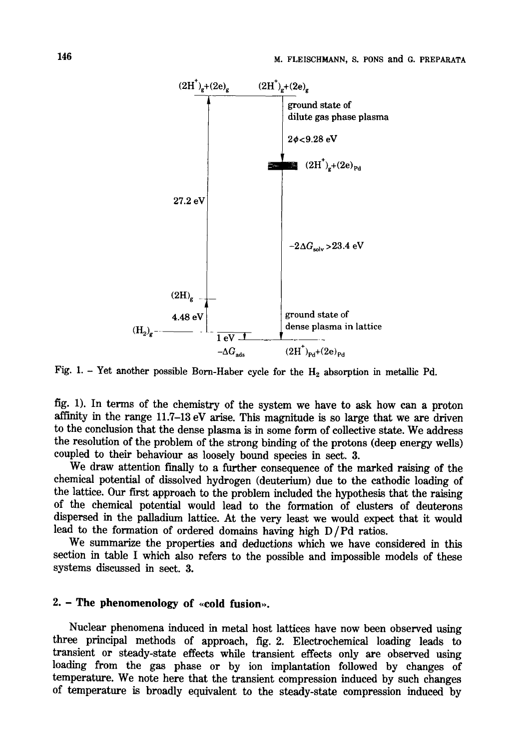

Fig. 1. - Yet another possible Born-Haber cycle for the  $H_2$  absorption in metallic Pd.

fig. 1). In terms of the chemistry of the system we have to ask how can a proton affinity in the range 11.7-13 eV arise. This magnitude is so large that we are driven to the conclusion that the dense plasma is in some form of collective state. We address the resolution of the problem of the strong binding of the protons (deep energy wells) coupled to their behaviour as loosely bound species in sect. 3.

We draw attention finally to a further consequence of the marked raising of the chemical potential of dissolved hydrogen (deuterium) due to the cathodic loading of the lattice. Our first approach to the problem included the hypothesis that the raising of the chemical potential would lead to the formation of clusters of deuterons dispersed in the palladium lattice. At the very least we would expect that it would lead to the formation of ordered domains having high D/Pd ratios.

We summarize the properties and deductions which we have considered in this section in table I which also refers to the possible and impossible models of these systems discussed in sect. 3.

## 2. - The phenomenology of «cold fusion».

Nuclear phenomena induced in metal host lattices have now been observed using three principal methods of approach, fig. 2. Electrochemical loading leads to transient or steady-state effects while transient effects only are observed using loading from the gas phase or by ion implantation followed by changes of temperature. We note here that the transient compression induced by such changes of temperature is broadly equivalent to the steady-state compression induced by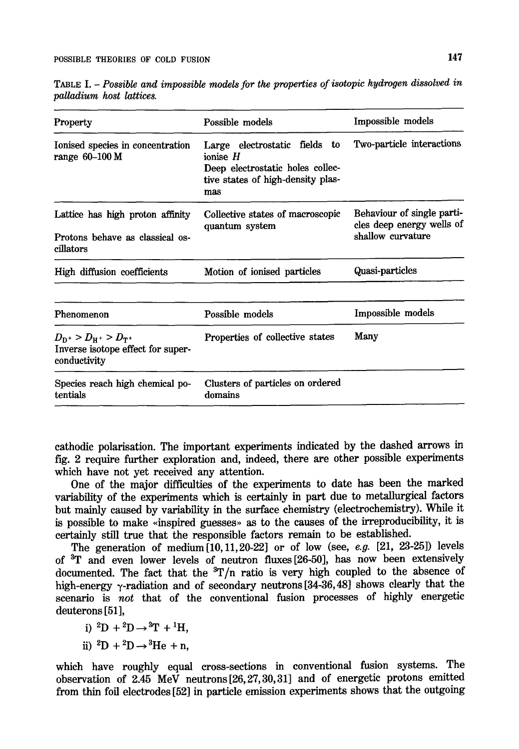| <b>Property</b>                                                                    | Possible models                                                                                                             | Impossible models                                                            |
|------------------------------------------------------------------------------------|-----------------------------------------------------------------------------------------------------------------------------|------------------------------------------------------------------------------|
| Ionised species in concentration<br>range $60-100$ M                               | Large electrostatic fields to<br>ionise $H$<br>Deep electrostatic holes collec-<br>tive states of high-density plas-<br>mas | Two-particle interactions                                                    |
| Lattice has high proton affinity<br>Protons behave as classical os-<br>cillators   | Collective states of macroscopic<br>quantum system                                                                          | Behaviour of single parti-<br>cles deep energy wells of<br>shallow curvature |
| High diffusion coefficients                                                        | Motion of ionised particles                                                                                                 | Quasi-particles                                                              |
| Phenomenon                                                                         | Possible models                                                                                                             | Impossible models                                                            |
| $D_{D^+} > D_{H^+} > D_{T^+}$<br>Inverse isotope effect for super-<br>conductivity | Properties of collective states                                                                                             | Many                                                                         |
| Species reach high chemical po-<br>tentials                                        | Clusters of particles on ordered<br>domains                                                                                 |                                                                              |

TABLE I. - *Possible and impossible models for the properties of isotopic hydrogen dissolved in palladium host lattices.* 

cathodic polarisation. The important experiments indicated by the dashed arrows in fig. 2 require farther exploration and, indeed, there are other possible experiments which have not yet received any attention.

One of the major difficulties of the experiments to date has been the marked variability of the experiments which is certainly in part due to metallurgical factors but mainly caused by variability in the surface chemistry (electrochemistry). While it is possible to make «inspired guesses» as to the causes of the irreproducibility, it is certainly still true that the responsible factors remain to be established.

The generation of medium[10,11,20-22] or of low (see, *e.g.* [21, 23-25]) levels of <sup>3</sup>T and even lower levels of neutron fluxes [26-50], has now been extensively documented. The fact that the  ${}^{3}T/n$  ratio is very high coupled to the absence of high-energy  $\gamma$ -radiation and of secondary neutrons [34-36, 48] shows clearly that the scenario is *not* that of the conventional fusion processes of highly energetic deuterons [51],

i)  ${}^{2}D + {}^{2}D \rightarrow {}^{3}T + {}^{1}H$ ,

ii) 
$$
{}^{2}D + {}^{2}D \rightarrow {}^{3}He + n
$$
,

which have roughly equal cross-sections in conventional fusion systems. The observation of 2.45 MeV neutrons [26,27,30,31] and of energetic protons emitted from thin foil electrodes [52] in particle emission experiments shows that the outgoing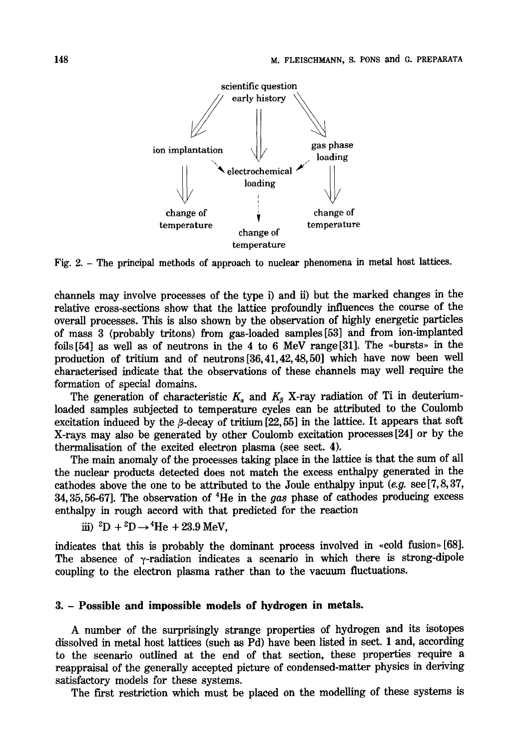

Fig. 2. - The principal methods of approach to nuclear phenomena in metal host lattices.

channels may involve processes of the type i) and ii) but the marked changes in the relative cross-sections show that the lattice profoundly influences the course of the overall processes. This is also shown by the observation of highly energetic particles of mass 3 (probably tritons) from gas-loaded samples [53] and from ion-implanted foils  $[54]$  as well as of neutrons in the 4 to 6 MeV range  $[31]$ . The «bursts» in the production of tritium and of neutrons [36,41,42,48,50] which have now been well characterised indicate that the observations of these channels may well require the formation of special domains.

The generation of characteristic  $K_{\alpha}$  and  $K_{\beta}$  X-ray radiation of Ti in deuteriumloaded samples subjected to temperature cycles can be attributed to the Coulomb excitation induced by the  $\beta$ -decay of tritium [22, 55] in the lattice. It appears that soft X-rays may also be generated by other Coulomb excitation processes [24] or by the thermalisation of the excited electron plasma (see sect. 4).

The main anomaly of the processes taking place in the lattice is that the sum of all the nuclear products detected does not match the excess enthalpy generated in the cathodes above the one to be attributed to the Joule enthalpy input *(e.g.* see [7, 8, 37, 34, 35, 56-67]. The observation of 4He in the gas phase of cathodes producing excess enthalpy in rough accord with that predicted for the reaction

iii)  ${}^{2}D+{}^{2}D \rightarrow {}^{4}He + 23.9$  MeV,

indicates that this is probably the dominant process involved in  $\alpha$  (cold fusion). The absence of  $\gamma$ -radiation indicates a scenario in which there is strong-dipole coupling to the electron plasma rather than to the vacuum fluctuations.

#### **3. - Possible and impossible models of hydrogen in metals.**

A number of the surprisingly strange properties of hydrogen and its isotopes dissolved in metal host lattices (such as Pd) have been listed in sect. 1 and, according to the scenario outlined at the end of that section, these properties require a reappraisal of the generally accepted picture of condensed-matter physics in deriving satisfactory models for these systems.

The first restriction which must be placed on the modelling of these systems is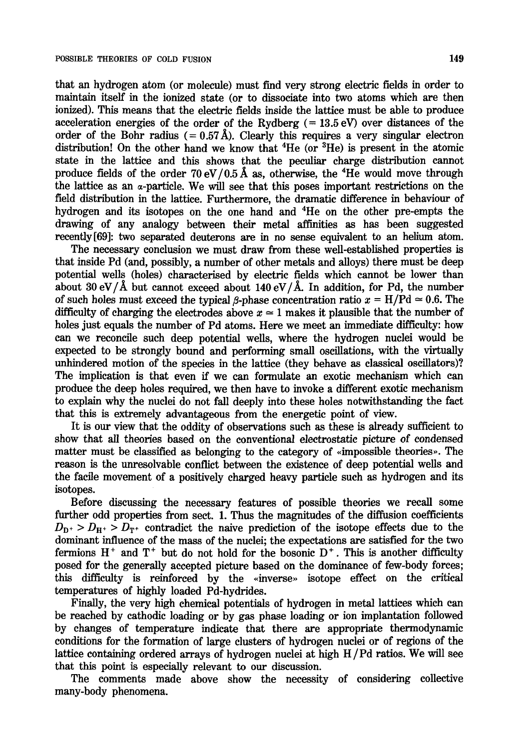that an hydrogen atom (or molecule) must find very strong electric fields in order to maintain itself in the ionized state (or to dissociate into two atoms which are then ionized). This means that the electric fields inside the lattice must be able to produce acceleration energies of the order of the Rydberg  $(= 13.5 \text{ eV})$  over distances of the order of the Bohr radius  $(= 0.57 \text{ Å})$ . Clearly this requires a very singular electron distribution! On the other hand we know that  ${}^{4}$ He (or  ${}^{3}$ He) is present in the atomic state in the lattice and this shows that the peculiar charge distribution cannot produce fields of the order 70 eV/0.5 Å as, otherwise, the  ${}^{4}$ He would move through the lattice as an a-particle. We will see that this poses important restrictions on the field distribution in the lattice. Furthermore, the dramatic difference in behaviour of hydrogen and its isotopes on the one hand and 4He on the other pre-empts the drawing of any analogy between their metal affinities as has been suggested recently[69]: two separated deuterons are in no sense equivalent to an helium atom.

The necessary conclusion we must draw from these well-established properties is that inside Pd (and, possibly, a number of other metals and alloys) there must be deep potential wells (holes) characterised by electric fields which cannot be lower than about 30 eV/ $\AA$  but cannot exceed about 140 eV/ $\AA$ . In addition, for Pd, the number of such holes must exceed the typical  $\beta$ -phase concentration ratio  $x = H/Pd \approx 0.6$ . The difficulty of charging the electrodes above  $x \approx 1$  makes it plausible that the number of holes just equals the number of Pd atoms. Here we meet an immediate difficulty: how can we reconcile such deep potential wells, where the hydrogen nuclei would be expected to be strongly bound and performing small oscillations, with the virtually unhindered motion of the species in the lattice (they behave as classical oscillators)? The implication is that even if we can formulate an exotic mechanism which can produce the deep holes required, we then have to invoke a different exotic mechanism to explain why the nuclei do not fall deeply into these holes notwithstanding the fact that this is extremely advantageous from the energetic point of view.

It is our view that the oddity of observations such as these is already sufficient to show that all theories based on the conventional electrostatic picture of condensed matter must be classified as belonging to the category of  $\alpha$  impossible theories». The reason is the unresolvable conflict between the existence of deep potential wells and the facile movement of a positively charged heavy particle such as hydrogen and its isotopes.

Before discussing the necessary features of possible theories we recall some further odd properties from sect. 1. Thus the magnitudes of the diffusion coefficients  $D_{D^+} > D_{H^+} > D_{T^+}$  contradict the naive prediction of the isotope effects due to the dominant influence of the mass of the nuclei; the expectations are satisfied for the two fermions  $H^+$  and  $T^+$  but do not hold for the bosonic  $D^+$ . This is another difficulty posed for the generally accepted picture based on the dominance of few-body forces; this difficulty is reinforced by the «inverse» isotope effect on the critical temperatures of highly loaded Pd-hydrides.

Finally, the very high chemical potentials of hydrogen in metal lattices which can be reached by cathodic loading or by gas phase loading or ion implantation followed by changes of temperature indicate that there are appropriate thermodynamic conditions for the formation of large clusters of hydrogen nuclei or of regions of the lattice containing ordered arrays of hydrogen nuclei at high H/Pd ratios. We will see that this point is especially relevant to our discussion.

The comments made above show the necessity of considering collective many-body phenomena.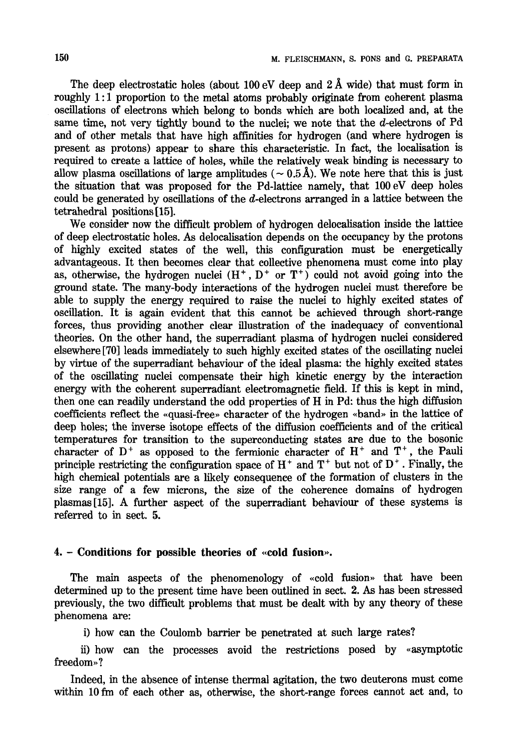The deep electrostatic holes (about 100 eV deep and  $2~\text{\AA}$  wide) that must form in roughly 1:1 proportion to the metal atoms probably originate from coherent plasma oscillations of electrons which belong to bonds which are both localized and, at the same time, not very tightly bound to the nuclei; we note that the d-electrons of Pd and of other metals that have high affinities for hydrogen (and where hydrogen is present as protons) appear to share this characteristic. In fact, the localisation is required to create a lattice of holes, while the relatively weak binding is necessary to allow plasma oscillations of large amplitudes ( $\sim$  0.5 Å). We note here that this is just the situation that was proposed for the Pd-lattice namely, that 100 eV deep holes could be generated by oscillations of the d-electrons arranged in a lattice between the tetrahedral positions [15].

We consider now the difficult problem of hydrogen delocalisation inside the lattice of deep electrostatic holes. As delocalisation depends on the occupancy by the protons of highly excited states of the well, this configuration must be energetically advantageous. It then becomes clear that collective phenomena must come into play as, otherwise, the hydrogen nuclei  $(H^+, D^+$  or  $T^+)$  could not avoid going into the ground state. The many-body interactions of the hydrogen nuclei must therefore be able to supply the energy required to raise the nuclei to highly excited states of oscillation. It is again evident that this cannot be achieved through short-range forces, thus providing another clear illustration of the inadequacy of conventional theories. On the other hand, the superradiant plasma of hydrogen nuclei considered elsewhere [70] leads immediately to such highly excited states of the oscillating nuclei by virtue of the superradiant behaviour of the ideal plasma: the highly excited states of the oscillating nuclei compensate their high kinetic energy by the interaction energy with the coherent superradiant electromagnetic field. If this is kept in mind, then one can readily understand the odd properties of H in Pd: thus the high diffusion coefficients reflect the «quasi-free» character of the hydrogen «band» in the lattice of deep holes; the inverse isotope effects of the diffusion coefficients and of the critical temperatures for transition to the superconducting states are due to the bosonic character of  $D^+$  as opposed to the fermionic character of  $H^+$  and  $T^+$ , the Pauli principle restricting the configuration space of  $H^+$  and  $T^+$  but not of  $D^+$ . Finally, the high chemical potentials are a likely consequence of the formation of clusters in the size range of a few microns, the size of the coherence domains of hydrogen plasmas [15]. A further aspect of the superradiant behaviour of these systems is referred to in sect. 5.

#### **4.** – Conditions for possible theories of «cold fusion».

The main aspects of the phenomenology of  $\ll$ cold fusion» that have been determined up to the present time have been outlined in sect. 2. As has been stressed previously, the two difficult problems that must be dealt with by any theory of these phenomena are:

i) how can the Coulomb barrier be penetrated at such large rates?

ii) how can the processes avoid the restrictions posed by «asymptotic freedom»?

Indeed, in the absence of intense thermal agitation, the two deuterons must come within 10 fm of each other as, otherwise, the short-range forces cannot act and, to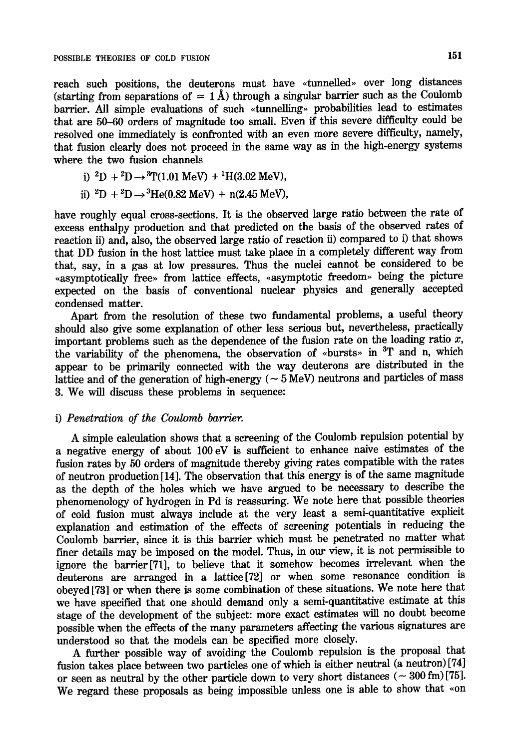reach such positions, the deuterons must have «tunnelled» over long distances (starting from separations of  $\approx 1~\text{\AA}$ ) through a singular barrier such as the Coulomb barrier. All simple evaluations of such «tunnelling» probabilities lead to estimates that are 50-60 orders of magnitude too small. Even if this severe difficulty could be resolved one immediately is confronted with an even more severe difficulty, namely, that fusion clearly does not proceed in the same way as in the high-energy systems where the two fusion channels

i) 
$$
{}^{2}D + {}^{2}D \rightarrow {}^{3}T(1.01 \text{ MeV}) + {}^{1}H(3.02 \text{ MeV}),
$$

ii) 
$$
{}^{2}D + {}^{2}D \rightarrow {}^{3}He(0.82 \text{ MeV}) + n(2.45 \text{ MeV}),
$$

have roughly equal cross-sections. It is the observed large ratio between the rate of excess enthalpy production and that predicted on the basis of the observed rates of reaction ii) and, also, the observed large ratio of reaction ii) compared to i) that shows that DD fusion in the host lattice must take place in a completely different way from that, say, in a gas at low pressures. Thus the nuclei cannot be considered to be «asymptotically free» from lattice effects, «asymptotic freedom» being the picture expected on the basis of conventional nuclear physics and generally accepted condensed matter.

Apart from the resolution of these two fundamental problems, a useful theory should also give some explanation of other less serious but, nevertheless, practically important problems such as the dependence of the fusion rate on the loading ratio  $x$ , the variability of the phenomena, the observation of «bursts» in <sup>3</sup>T and n, which appear to be primarily connected with the way deuterons are distributed in the lattice and of the generation of high-energy ( $\sim$  5 MeV) neutrons and particles of mass 3. We will discuss these problems in sequence:

#### i) *Penetration of the Coulomb barrier.*

A simple calculation shows that a screening of the Coulomb repulsion potential by a negative energy of about 100 eV is sufficient to enhance naive estimates of the fusion rates by 50 orders of magnitude thereby giving rates compatible with the rates of neutron production [14]. The observation that this energy is of the same magnitude as the depth of the holes which we have argued to be necessary to describe the phenomenology of hydrogen in Pd is reassuring. We note here that possible theories of cold fusion must always include at the very least a semi-quantitative explicit explanation and estimation of the effects of screening potentials in reducing the Coulomb barrier, since it is this barrier which must be penetrated no matter what finer details may be imposed on the model. Thus, in our view, it is not permissible to ignore the barrier[71], to believe that it somehow becomes irrelevant when the deuterons are arranged in a lattice[72] or when some resonance condition is obeyed [73] or when there is some combination of these situations. We note here that we have specified that one should demand only a semi-quantitative estimate at this stage of the development of the subject: more exact estimates will no doubt become possible when the effects of the many parameters affecting the various signatures are understood so that the models can be specified more closely.

A further possible way of avoiding the Coulomb repulsion is the proposal that fusion takes place between two particles one of which is either neutral (a neutron)[74] or seen as neutral by the other particle down to very short distances ( $\sim 300$  fm) [75]. We regard these proposals as being impossible unless one is able to show that «on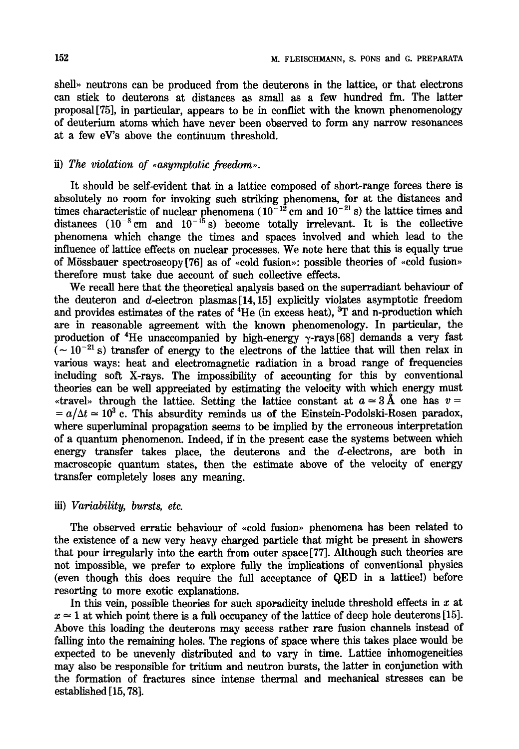shell» neutrons can be produced from the deuterons in the lattice, or that electrons can stick to deuterons at distances as small as a few hundred fm. The latter proposal [75], in particular, appears to be in conflict with the known phenomenology of deuterium atoms which have never been observed to form any narrow resonances at a few eV's above the continuum threshold.

### ii) The violation of «asymptotic freedom».

It should be serf-evident that in a lattice composed of short-range forces there is absolutely no room for invoking such striking phenomena, for at the distances and times characteristic of nuclear phenomena  $(10^{-12}$  cm and  $10^{-21}$  s) the lattice times and distances  $(10^{-8} \text{ cm}$  and  $10^{-15} \text{ s}$ ) become totally irrelevant. It is the collective phenomena which change the times and spaces involved and which lead to the influence of lattice effects on nuclear processes. We note here that this is equally true of Mössbauer spectroscopy [76] as of  $\alpha$  scold fusion»: possible theories of  $\alpha$  cold fusion therefore must take due account of such collective effects.

We recall here that the theoretical analysis based on the superradiant behaviour of the deuteron and  $d$ -electron plasmas [14,15] explicitly violates asymptotic freedom and provides estimates of the rates of <sup>4</sup>He (in excess heat), <sup>3</sup>T and n-production which are in reasonable agreement with the known phenomenology. In particular, the production of <sup>4</sup>He unaccompanied by high-energy  $\gamma$ -rays [68] demands a very fast  $(-10^{-21} s)$  transfer of energy to the electrons of the lattice that will then relax in various ways: heat and electromagnetic radiation in a broad range of frequencies including soft X-rays. The impossibility of accounting for this by conventional theories can be well appreciated by estimating the velocity with which energy must \*travel\* through the lattice. Setting the lattice constant at  $a \approx 3~\text{\AA}$  one has v =  $a = a/\Delta t \approx 10^3$  c. This absurdity reminds us of the Einstein-Podolski-Rosen paradox, where superluminal propagation seems to be implied by the erroneous interpretation of a quantum phenomenon. Indeed, if in the present case the systems between which energy transfer takes place, the deuterons and the d-electrons, are both in macroscopic quantum states, then the estimate above of the velocity of energy transfer completely loses any meaning.

#### *iii) Variability, bursts, etc.*

The observed erratic behaviour of «cold fusion» phenomena has been related to the existence of a new very heavy charged particle that might be present in showers that pour irregularly into the earth from outer space [77]. Although such theories are not impossible, we prefer to explore fully the implications of conventional physics (even though this does require the full acceptance of QED in a lattice!) before resorting to more exotic explanations.

In this vein, possible theories for such sporadicity include threshold effects in  $x$  at  $x \approx 1$  at which point there is a full occupancy of the lattice of deep hole deuterons [15]. Above this loading the deuterons may access rather rare fusion channels instead of falling into the remaining holes. The regions of space where this takes place would be expected to be unevenly distributed and to vary in time. Lattice inhomogeneities may also be responsible for tritium and neutron bursts, the latter in conjunction with the formation of fractures since intense thermal and mechanical stresses can be established [15, 78].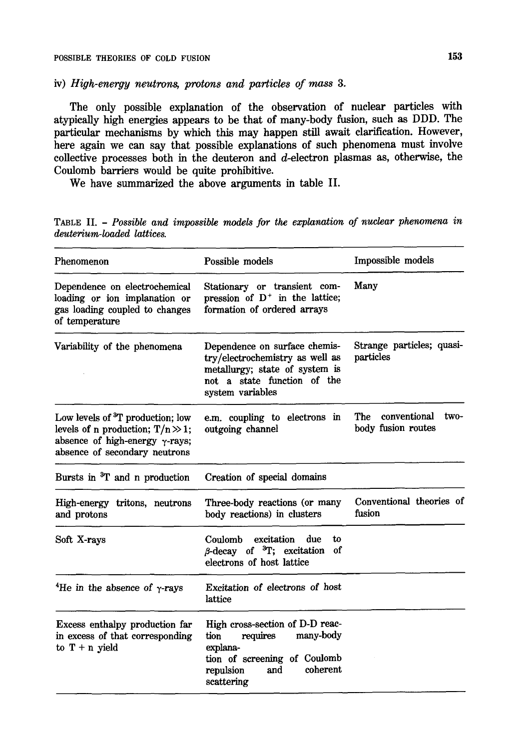*iv) High-energy neutrons, protons and particles of mass 3.* 

The only possible explanation of the observation of nuclear particles with atypically high energies appears to be that of many-body fusion, such as DDD. The particular mechanisms by which this may happen still await clarification. However, here again we can say that possible explanations of such phenomena must involve collective processes both in the deuteron and d-electron plasmas as, otherwise, the Coulomb barriers would be quite prohibitive.

We have summarized the above arguments in table II.

TABLE II. - *Possible and impossible models for the explanation of nuclear phenomena in deuterium-loaded lattices.* 

| Phenomenon                                                                                                                                                       | Possible models                                                                                                                                            | Impossible models                                 |
|------------------------------------------------------------------------------------------------------------------------------------------------------------------|------------------------------------------------------------------------------------------------------------------------------------------------------------|---------------------------------------------------|
| Dependence on electrochemical<br>loading or ion implanation or<br>gas loading coupled to changes<br>of temperature                                               | Stationary or transient com-<br>pression of $D^+$ in the lattice;<br>formation of ordered arrays                                                           | Many                                              |
| Variability of the phenomena                                                                                                                                     | Dependence on surface chemis-<br>try/electrochemistry as well as<br>metallurgy; state of system is<br>not a state function of the<br>system variables      | Strange particles; quasi-<br>particles            |
| Low levels of <sup>3</sup> T production; low<br>levels of n production; $T/n \gg 1$ ;<br>absence of high-energy $\gamma$ -rays;<br>absence of secondary neutrons | e.m. coupling to electrons in<br>outgoing channel                                                                                                          | The<br>conventional<br>two-<br>body fusion routes |
| Bursts in <sup>3</sup> T and n production                                                                                                                        | Creation of special domains                                                                                                                                |                                                   |
| High-energy tritons, neutrons<br>and protons                                                                                                                     | Three-body reactions (or many<br>body reactions) in clusters                                                                                               | Conventional theories of<br>fusion                |
| Soft X-rays                                                                                                                                                      | excitation<br>due<br>Coulomb<br>to<br>$\beta$ -decay of ${}^{3}T$ ; excitation<br>of<br>electrons of host lattice                                          |                                                   |
| <sup>4</sup> He in the absence of $\gamma$ -rays                                                                                                                 | Excitation of electrons of host<br>lattice                                                                                                                 |                                                   |
| Excess enthalpy production far<br>in excess of that corresponding<br>to $T + n$ yield                                                                            | High cross-section of D-D reac-<br>requires<br>many-body<br>tion<br>explana-<br>tion of screening of Coulomb<br>coherent<br>and<br>repulsion<br>scattering |                                                   |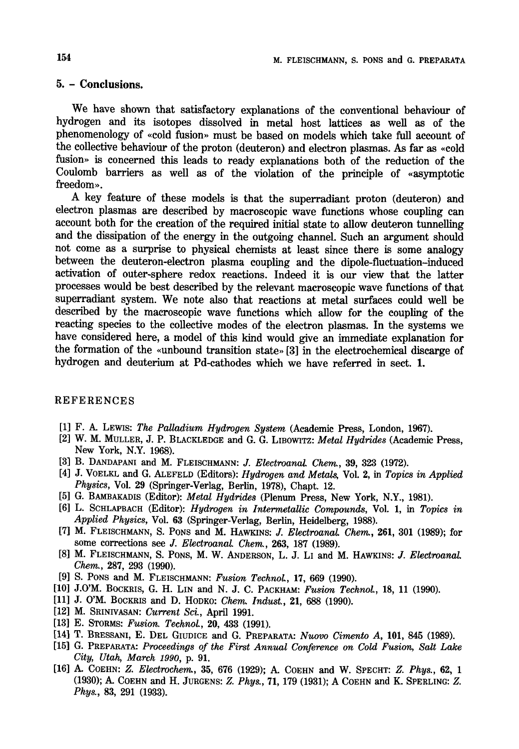# **5.- Conclusions.**

We have shown that satisfactory explanations of the conventional behaviour of hydrogen and its isotopes dissolved in metal host lattices as well as of the phenomenology of «cold fusion» must be based on models which take full account of the collective behaviour of the proton (deuteron) and electron plasmas. As far as «cold fusion» is concerned this leads to ready explanations both of the reduction of the Coulomb barriers as well as of the violation of the principle of «asymptotic freedom».

A key feature of these models is that the superradiant proton (deuteron) and electron plasmas are described by macroscopic wave functions whose coupling can account both for the creation of the required initial state to allow deuteron tunnelling and the dissipation of the energy in the outgoing channel. Such an argument should not come as a surprise to physical chemists at least since there is some analogy between the deuteron-electron plasma coupling and the dipole-fluctuation-induced activation of outer-sphere redox reactions. Indeed it is our view that the latter processes would be best described by the relevant macroscopic wave functions of that superradiant system. We note also that reactions at metal surfaces could well be described by the macroscopic wave functions which allow for the coupling of the reacting species to the collective modes of the electron plasmas. In the systems we have considered here, a model of this kind would give an immediate explanation for the formation of the «unbound transition state»  $[3]$  in the electrochemical discarge of hydrogen and deuterium at Pd-cathodes which we have referred in sect. 1.

### REFERENCES

- [1] F. A. LEWIS: *The Palladium Hydrogen System* (Academic Press, London, 1967).
- [2] W. M. MULLER, J. P. BLACKLEDGE and G. G. LIBOWITZ: *Metal Hydrides* (Academic Press, New York, N.Y. 1968).
- [3] B. DANDAPANI and M. FLEISCHMANN: *J. ElectroanaL Chem.,* 39, 323 (1972).
- [4] J. VOELKL and G. ALEFELD (Editors): *Hydrogen and Metals,* Vol. 2, in *Topics in Applied Physics, Vol. 29 (Springer-Verlag, Berlin, 1978), Chapt. 12.*
- [5] G. BAMBAKADIS (Editor): *Metal Hydrides* (Plenum Press, New York, N.Y., 1981).
- [6] L. SCHLAPBACH (Editor): *Hydrogen in IntermetaUic Compounds,* Vol. 1, in *Topics in Applied Physics,* Vol. 63 (Springer-Verlag, Berlin, Heidelberg, 1988).
- [7] M. FLEISCHMANN, S. PONS and M. HAWKINS: *J. Electroanal. Chem.*, 261, 301 (1989); for some corrections see *J. Electroanal. Chem.,* 263, 187 (1989).
- [8] M. FLEISCHMANN, S. PONS, M. W. ANDERSON, L. J. L1 and M. HAWKINS: J. *Electroanal. Chem.,* 287, 293 (1990).
- [9] S. PoNs and M. FLEISCHMANN: *Fusion TechnoL,* 17, 669 (1990).
- [10] J.0'M. BOCKRIS, G. H. LIN and N. J. C. PACKHAM: *Fusion Technol.,* 18, 11 (1990).
- [11] J. O'M. BOCKRIS and D. HODKO: *Chem. Indust.,* 21, 688 (1990).
- [12] M. SRINIVASAN: *Current Sci.,* April 1991.
- [13] E. STORMS: *Fusion. TechnoL,* 20, 433 (1991).
- [14] T. BRESSANI, E. DEL GIUDICE and G. PREPARATA: *Nuovo Cimento A,* 101, 845 (1989).
- [15] G. PREPARATA: *Proceedings of the First Annual Conference on Cold Fusion, Salt Lake City, Utah, March 1990,* p. 91.
- [16] A. COEHN: *Z. Electroche~r~,* 35, 676 (1929); A. COEHN and W. SPECHT: *Z. Phys.,* 62, 1 (1930); A. COEHN and H. JURGENS: *Z. Phys.,* 71, 179 (1931); A COEHN and K. SPERLING: Z. *Phys.,* 83, 291 (1933).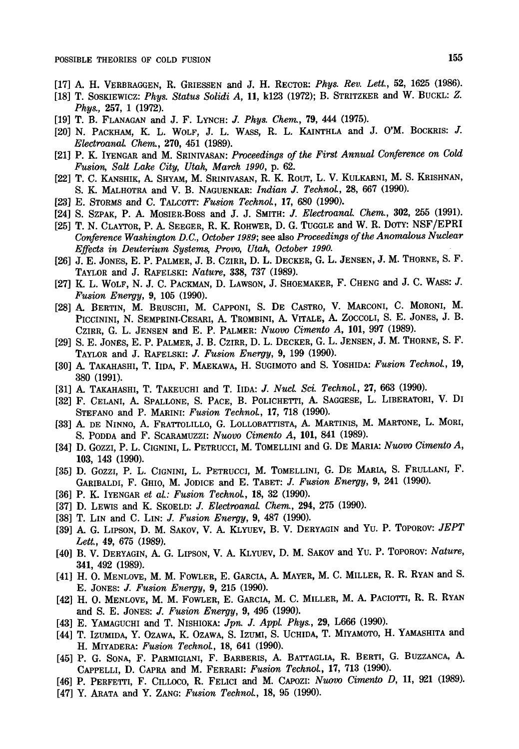- [17] A. H. VERBRAGGEN, R. GRIESSEN and J. H. RECTOR: *Phys. Rev. Lett.,* 52, 1625 (1986).
- [18] T. SOSKIEWICZ: *Phys. Status Solidi A*, 11, k123 (1972); B. STRITZKER and W. BUCKL: Z. *Phys.,* 257, 1 (1972).
- [19] T. B. FLANAGAN and J. F. LYNCH: J. *Phys. Chem.,* 79, 444 (1975).
- [20] N. PACKHAM, K. L. WOLF, J. L. WASS, R. L. KAINTHLA and J. O'M. BOCKRIS: J. *Electroanal. Chem.,* 270, 451 (1989).
- [21] P. K. IYENGAR and M. SRINIVASAN: *Proceedings of the First Annual Conference on Cold Fusion~ Salt Lake City, Utah, March 1990,* p. 62.
- [22] T. C. KANSHIK, A. SHYAM, M. SRINIVASAN, R. K. ROUT, L. V. KULKARNI, M. S. KRISHNAN, **S. K.** MALHOTRA and **V. B.** NAGUENKAR: *Indian J. TeehnoL,* 28, 667 (1990).
- [23] E. STORMS and C. TALCOTT: *Fusion TechnoL,* 17, 680 (1990).
- [24] S. SZPAK, P. A. MOSIER-BOSS and J. J. SMITH: *J. ElectroanaL Chem.,* 302, 255 (1991).
- [25] T. N. CLAYTOR, P. A. SEEGER, R. K. ROHWER, D. G. TUGGLE and W. R. DOTY: NSF/EPRI *Conference Washington D.C., October 1989;* see also *Proceedings of the Anomalous Nuclear Effects in Deuterium Systems, Provo, Utah~ October 1990.*
- [26] J. E. JONES, E. P. PALMER, J. B. CZIRR, D. L. DECKER, G. L. JENSEN, J. M. THORNE, S. F. TAYLOR and J. RAFELSKI: *Nature,* 338, 737 (1989).
- [27] K. L. WOLF, N. J. C. PACKMAN, D. LAWSON, J. SHOEMAKER, F. CHENG and J. C. WASS: J. *Fusion Energy,* 9, 105 (1990).
- [28] A. BERTIN, M. BRUSCHI, M. CAPPONI, S. DE CASTRO, V. MARCONI, C. MORONI, M. PICCININI, N. SEMPRINI-CESARI, A. TROMBINI, A. VITALE, A. ZOCCOLI, S. E. JONES, J. B. CZIRR, G. i. JENSEN and E. P. PALMER: *Nuovo Cimento A,* 101, 997 (1989).
- [29] S. E. JONES, E. P. PALMER, J. B. CZIRR, D. L. DECKER, G. L. JENSEN, J. M. THORNE, S. F. TAYLOR and J. RAFELSKI: *J. Fusion Energy*, 9, 199 (1990).
- [30] A. TAKAHASHI, T. IIDA, F. MAEKAWA, H. SUGIMOTO and S. YOSHIDA: *Fusion TechnoL,* 19, 380 (1991).
- [31] A. TAKAHASHI, T. TAKEUCHI and T. IIDA: J. *NucL Sci. Teehnol.,* 27, 663 (1990).
- [32] F. CELANI, A. SPALLONE, S. PACE, B. POLICHETTI, A. SAGGESE, L. LIBERATORI, V. DI STEFANO and P. MARINI: *Fusion TeehnoL,* 17, 718 (1990).
- [33] A. DE NINNO, A. FRATTOLILLO, G. LOLLOBATTISTA, A. MARTINIS, M. MARTONE, L. MORI, S. PODDA and F. SCARAMUZZI: *Nuovo Cimento A*, **101**, 841 (1989).
- [34] D. GozzI, P. L. CIGNINI, L. PETRUCCI, M. TOMELLINI and G. DE MARIA: *Nuovo Cimento A,*  **103,** 143 (1990).
- [35] D. Gozzi, P. L. Cignini, L. Petrucci, M. Tomellini, G. De Maria, S. Frullani, F. GARIBALDI, F. GHIO, M. JODICE and E. TABET: *J. Fusion Energy,* 9, 241 (1990).
- [36] P. K. IYENGAR *et al.: Fusion TechnoL,* 18, 32 (1990).
- [37] D. LEWIS and K. SKOELD: *J. ElectroanaL Chena,* 294, 275 (1990).
- [38] T. LIN and C. LIN: *J. Fusion Energy,* 9, 487 (1990).
- [39] A. G. LIPSON, D. M. SAKOV, V. A. KLYUEV, B. V. DERYAGIN and YU. P. TOPOROV: *JEPT Lett.,* 49, 675 (1989).
- [40] B. V. DERYAGIN, A. G. LIPSON, V. A. KLYUEV, D. M. SAKOV and Yu. P. TOPOROV: *Nature,*  **341,** 492 (1989).
- [41] H. O. MENLOVE, M. M. FOWLER, E. GARCIA, A. MAYER, M. C. MILLER, R. R. RYAN and S. **E.** JONES: *J. Fusion Energy,* 9, 215 (1990).
- [42] H. O. MENLOVE, M. M. FOWLER, E. GARCIA, M. C. MILLER, M. A. PACIOTTI, R. R. RYAN and S. E. JONES: *J. Fusion Energy,* 9, 495 (1990).
- [43] E. YAMAGUCHI and T. NISHIOKA: *Jpn. J. Appl. Phys.*, 29, L666 (1990).
- [44] T. Izumida, Y. Ozawa, K. Ozawa, S. Izumi, S. Uchida, T. Miyamoto, H. Yamashita and H. MIYADERA: *Fusion Technol.,* 18, 641 (1990).
- [45] P. G. SONA, F. PARMIGIANI, F. BARBERIS, A. BATrAGLIA, R. BERTI, G. BUZZANCA, A. CAPPELLI, D. CAPRA and M. FERRARI: *Fusion TechnoL,* 17, 713 (1990).
- [46] P. PERFETrI, F. CILLOCO, R. FELICI and M. CAPOZI: *Nuovo Cimento D,* 11, 921 (1989).
- [47] Y. ARATA and Y. ZANG: *Fusion TechnoL,* 18, 95 (1990).